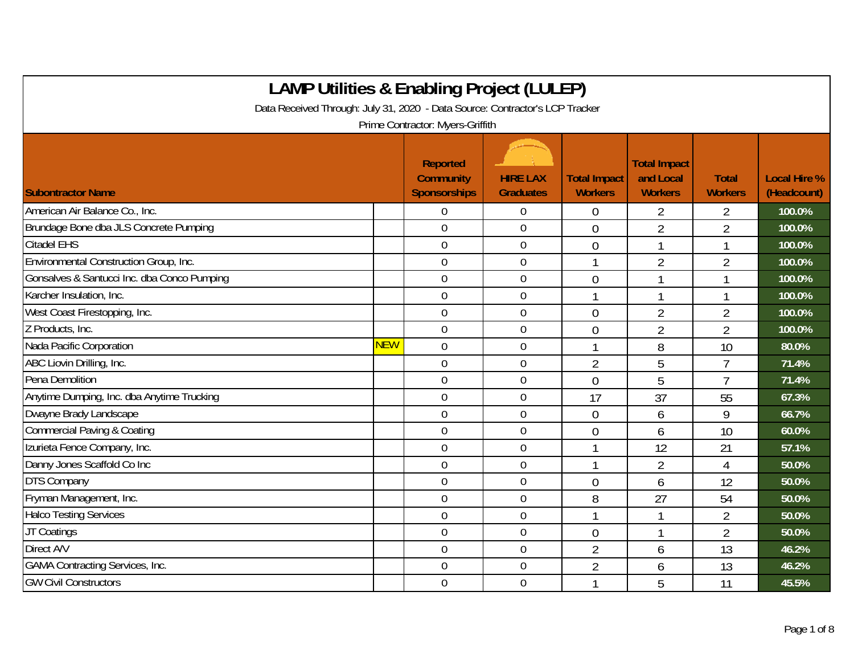| <b>LAMP Utilities &amp; Enabling Project (LULEP)</b>                         |            |                                                            |                                     |                                       |                                                    |                                |                                    |  |  |  |
|------------------------------------------------------------------------------|------------|------------------------------------------------------------|-------------------------------------|---------------------------------------|----------------------------------------------------|--------------------------------|------------------------------------|--|--|--|
| Data Received Through: July 31, 2020 - Data Source: Contractor's LCP Tracker |            |                                                            |                                     |                                       |                                                    |                                |                                    |  |  |  |
|                                                                              |            | Prime Contractor: Myers-Griffith                           |                                     |                                       |                                                    |                                |                                    |  |  |  |
| <b>Subontractor Name</b>                                                     |            | <b>Reported</b><br><b>Community</b><br><b>Sponsorships</b> | <b>HIRE LAX</b><br><b>Graduates</b> | <b>Total Impact</b><br><b>Workers</b> | <b>Total Impact</b><br>and Local<br><b>Workers</b> | <b>Total</b><br><b>Workers</b> | <b>Local Hire %</b><br>(Headcount) |  |  |  |
| American Air Balance Co., Inc.                                               |            | $\overline{0}$                                             | $\overline{0}$                      | $\overline{0}$                        | $\overline{2}$                                     | 2                              | 100.0%                             |  |  |  |
| Brundage Bone dba JLS Concrete Pumping                                       |            | $\overline{0}$                                             | $\mathbf 0$                         | $\overline{0}$                        | $\overline{2}$                                     | $\overline{2}$                 | 100.0%                             |  |  |  |
| <b>Citadel EHS</b>                                                           |            | $\overline{0}$                                             | $\mathbf 0$                         | $\overline{0}$                        | 1                                                  | 1                              | 100.0%                             |  |  |  |
| Environmental Construction Group, Inc.                                       |            | $\mathbf 0$                                                | $\mathbf 0$                         |                                       | $\overline{2}$                                     | $\overline{2}$                 | 100.0%                             |  |  |  |
| Gonsalves & Santucci Inc. dba Conco Pumping                                  |            | $\mathbf 0$                                                | $\mathbf 0$                         | $\overline{0}$                        | 1                                                  |                                | 100.0%                             |  |  |  |
| Karcher Insulation, Inc.                                                     |            | $\boldsymbol{0}$                                           | $\boldsymbol{0}$                    |                                       | 1                                                  |                                | 100.0%                             |  |  |  |
| West Coast Firestopping, Inc.                                                |            | $\mathbf 0$                                                | $\mathbf 0$                         | $\mathbf{0}$                          | $\overline{2}$                                     | $\overline{2}$                 | 100.0%                             |  |  |  |
| Z Products, Inc.                                                             |            | $\mathbf 0$                                                | $\mathbf 0$                         | $\overline{0}$                        | $\overline{2}$                                     | $\overline{2}$                 | 100.0%                             |  |  |  |
| Nada Pacific Corporation                                                     | <b>NEW</b> | $\overline{0}$                                             | $\overline{0}$                      |                                       | 8                                                  | 10                             | 80.0%                              |  |  |  |
| ABC Liovin Drilling, Inc.                                                    |            | $\overline{0}$                                             | $\overline{0}$                      | $\overline{2}$                        | 5                                                  | $\overline{7}$                 | 71.4%                              |  |  |  |
| Pena Demolition                                                              |            | $\mathbf 0$                                                | $\mathbf 0$                         | $\overline{0}$                        | 5                                                  | $\overline{1}$                 | 71.4%                              |  |  |  |
| Anytime Dumping, Inc. dba Anytime Trucking                                   |            | $\mathbf 0$                                                | $\mathbf 0$                         | 17                                    | 37                                                 | 55                             | 67.3%                              |  |  |  |
| Dwayne Brady Landscape                                                       |            | $\mathbf 0$                                                | $\mathbf 0$                         | $\overline{0}$                        | 6                                                  | 9                              | 66.7%                              |  |  |  |
| <b>Commercial Paving &amp; Coating</b>                                       |            | $\overline{0}$                                             | $\mathbf 0$                         | $\overline{0}$                        | 6                                                  | 10                             | 60.0%                              |  |  |  |
| Izurieta Fence Company, Inc.                                                 |            | $\mathbf 0$                                                | $\mathbf 0$                         |                                       | 12                                                 | 21                             | 57.1%                              |  |  |  |
| Danny Jones Scaffold Co Inc                                                  |            | $\mathbf 0$                                                | $\boldsymbol{0}$                    |                                       | $\overline{2}$                                     | 4                              | 50.0%                              |  |  |  |
| DTS Company                                                                  |            | $\mathbf 0$                                                | $\mathbf 0$                         | $\overline{0}$                        | 6                                                  | 12                             | 50.0%                              |  |  |  |
| Fryman Management, Inc.                                                      |            | $\mathbf 0$                                                | $\mathbf 0$                         | 8                                     | 27                                                 | 54                             | 50.0%                              |  |  |  |
| <b>Halco Testing Services</b>                                                |            | $\mathbf 0$                                                | $\boldsymbol{0}$                    | $\mathbf{1}$                          | 1                                                  | 2                              | 50.0%                              |  |  |  |
| JT Coatings                                                                  |            | $\boldsymbol{0}$                                           | $\boldsymbol{0}$                    | $\mathbf 0$                           | 1                                                  | $\overline{2}$                 | 50.0%                              |  |  |  |
| Direct A/V                                                                   |            | $\overline{0}$                                             | $\overline{0}$                      | $\overline{2}$                        | 6                                                  | 13                             | 46.2%                              |  |  |  |
| <b>GAMA Contracting Services, Inc.</b>                                       |            | $\overline{0}$                                             | $\mathbf 0$                         | $\overline{2}$                        | 6                                                  | 13                             | 46.2%                              |  |  |  |
| <b>GW Civil Constructors</b>                                                 |            | $\overline{0}$                                             | $\mathbf 0$                         |                                       | 5                                                  | 11                             | 45.5%                              |  |  |  |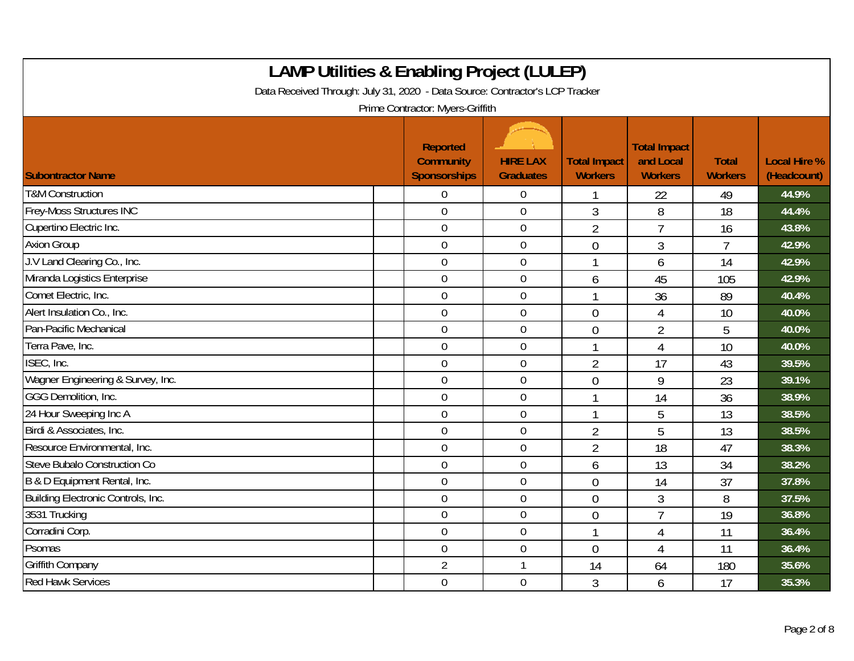| <b>LAMP Utilities &amp; Enabling Project (LULEP)</b><br>Data Received Through: July 31, 2020 - Data Source: Contractor's LCP Tracker<br>Prime Contractor: Myers-Griffith |  |                                                            |                                     |                                       |                                                    |                                |                                    |  |
|--------------------------------------------------------------------------------------------------------------------------------------------------------------------------|--|------------------------------------------------------------|-------------------------------------|---------------------------------------|----------------------------------------------------|--------------------------------|------------------------------------|--|
| <b>Subontractor Name</b>                                                                                                                                                 |  | <b>Reported</b><br><b>Community</b><br><b>Sponsorships</b> | <b>HIRE LAX</b><br><b>Graduates</b> | <b>Total Impact</b><br><b>Workers</b> | <b>Total Impact</b><br>and Local<br><b>Workers</b> | <b>Total</b><br><b>Workers</b> | <b>Local Hire %</b><br>(Headcount) |  |
| <b>T&amp;M Construction</b>                                                                                                                                              |  | $\Omega$                                                   | $\boldsymbol{0}$                    |                                       | 22                                                 | 49                             | 44.9%                              |  |
| <b>Frey-Moss Structures INC</b>                                                                                                                                          |  | $\overline{0}$                                             | $\mathbf 0$                         | 3                                     | 8                                                  | 18                             | 44.4%                              |  |
| Cupertino Electric Inc.                                                                                                                                                  |  | $\overline{0}$                                             | $\boldsymbol{0}$                    | $\overline{2}$                        | $\overline{1}$                                     | 16                             | 43.8%                              |  |
| <b>Axion Group</b>                                                                                                                                                       |  | $\mathbf 0$                                                | $\mathbf 0$                         | $\overline{0}$                        | 3                                                  | $\overline{7}$                 | 42.9%                              |  |
| J.V Land Clearing Co., Inc.                                                                                                                                              |  | $\overline{0}$                                             | $\overline{0}$                      |                                       | 6                                                  | 14                             | 42.9%                              |  |
| Miranda Logistics Enterprise                                                                                                                                             |  | $\overline{0}$                                             | $\boldsymbol{0}$                    | 6                                     | 45                                                 | 105                            | 42.9%                              |  |
| Comet Electric, Inc.                                                                                                                                                     |  | $\overline{0}$                                             | $\boldsymbol{0}$                    |                                       | 36                                                 | 89                             | 40.4%                              |  |
| Alert Insulation Co., Inc.                                                                                                                                               |  | $\mathbf 0$                                                | $\boldsymbol{0}$                    | $\overline{0}$                        | 4                                                  | 10                             | 40.0%                              |  |
| Pan-Pacific Mechanical                                                                                                                                                   |  | $\mathbf 0$                                                | $\pmb{0}$                           | $\overline{0}$                        | $\overline{2}$                                     | 5                              | 40.0%                              |  |
| Terra Pave, Inc.                                                                                                                                                         |  | $\overline{0}$                                             | $\mathbf 0$                         | $\mathbf{1}$                          | $\overline{4}$                                     | 10                             | 40.0%                              |  |
| ISEC, Inc.                                                                                                                                                               |  | $\overline{0}$                                             | $\boldsymbol{0}$                    | $\overline{2}$                        | 17                                                 | 43                             | 39.5%                              |  |
| Wagner Engineering & Survey, Inc.                                                                                                                                        |  | $\overline{0}$                                             | $\boldsymbol{0}$                    | $\overline{0}$                        | 9                                                  | 23                             | 39.1%                              |  |
| <b>GGG Demolition, Inc.</b>                                                                                                                                              |  | $\mathbf 0$                                                | $\mathbf 0$                         |                                       | 14                                                 | 36                             | 38.9%                              |  |
| 24 Hour Sweeping Inc A                                                                                                                                                   |  | $\mathbf 0$                                                | $\pmb{0}$                           |                                       | 5                                                  | 13                             | 38.5%                              |  |
| Birdi & Associates, Inc.                                                                                                                                                 |  | $\mathbf 0$                                                | $\mathbf 0$                         | $\overline{2}$                        | 5                                                  | 13                             | 38.5%                              |  |
| Resource Environmental, Inc.                                                                                                                                             |  | $\overline{0}$                                             | $\overline{0}$                      | $\overline{2}$                        | 18                                                 | 47                             | 38.3%                              |  |
| Steve Bubalo Construction Co                                                                                                                                             |  | $\overline{0}$                                             | $\boldsymbol{0}$                    | 6                                     | 13                                                 | 34                             | 38.2%                              |  |
| B & D Equipment Rental, Inc.                                                                                                                                             |  | $\overline{0}$                                             | $\mathbf 0$                         | $\overline{0}$                        | 14                                                 | 37                             | 37.8%                              |  |
| Building Electronic Controls, Inc.                                                                                                                                       |  | $\overline{0}$                                             | $\mathbf 0$                         | $\overline{0}$                        | 3                                                  | 8                              | 37.5%                              |  |
| 3531 Trucking                                                                                                                                                            |  | $\mathbf 0$                                                | $\boldsymbol{0}$                    | $\overline{0}$                        | $\overline{7}$                                     | 19                             | 36.8%                              |  |
| Corradini Corp.                                                                                                                                                          |  | $\mathbf 0$                                                | $\mathbf 0$                         |                                       | $\overline{4}$                                     | 11                             | 36.4%                              |  |
| Psomas                                                                                                                                                                   |  | $\overline{0}$                                             | 0                                   | $\overline{0}$                        | 4                                                  | 11                             | 36.4%                              |  |
| <b>Griffith Company</b>                                                                                                                                                  |  | 2                                                          | $\mathbf{1}$                        | 14                                    | 64                                                 | 180                            | 35.6%                              |  |
| <b>Red Hawk Services</b>                                                                                                                                                 |  | $\mathbf 0$                                                | $\mathbf 0$                         | 3                                     | 6                                                  | 17                             | 35.3%                              |  |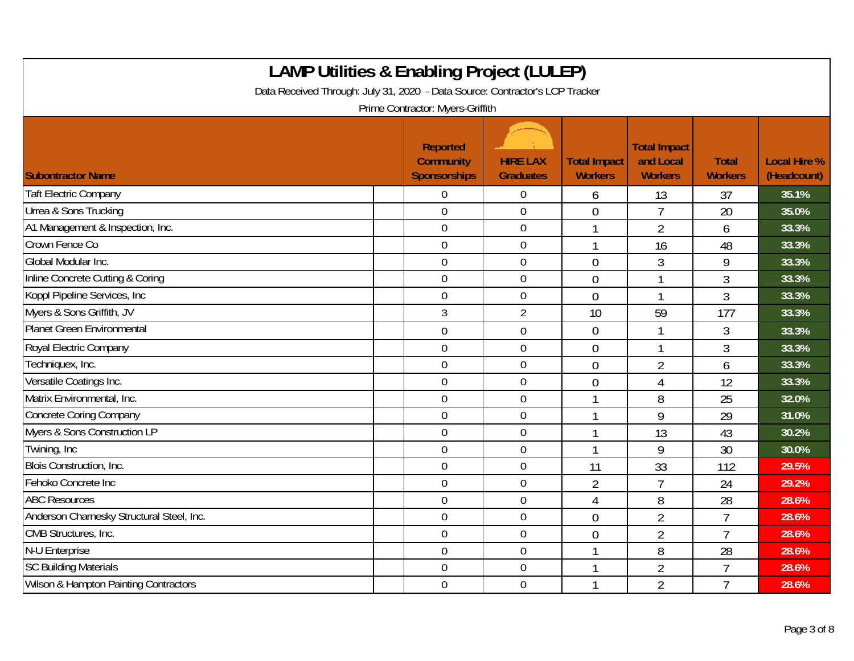| <b>LAMP Utilities &amp; Enabling Project (LULEP)</b><br>Data Received Through: July 31, 2020 - Data Source: Contractor's LCP Tracker<br>Prime Contractor: Myers-Griffith |                                                            |                                     |                                       |                                                    |                                |                                    |  |  |
|--------------------------------------------------------------------------------------------------------------------------------------------------------------------------|------------------------------------------------------------|-------------------------------------|---------------------------------------|----------------------------------------------------|--------------------------------|------------------------------------|--|--|
| <b>Subontractor Name</b>                                                                                                                                                 | <b>Reported</b><br><b>Community</b><br><b>Sponsorships</b> | <b>HIRE LAX</b><br><b>Graduates</b> | <b>Total Impact</b><br><b>Workers</b> | <b>Total Impact</b><br>and Local<br><b>Workers</b> | <b>Total</b><br><b>Workers</b> | <b>Local Hire %</b><br>(Headcount) |  |  |
| <b>Taft Electric Company</b>                                                                                                                                             | 0                                                          | $\overline{0}$                      | 6                                     | 13                                                 | 37                             | 35.1%                              |  |  |
| Urrea & Sons Trucking                                                                                                                                                    | $\overline{0}$                                             | $\overline{0}$                      | $\overline{0}$                        | $\overline{7}$                                     | 20                             | 35.0%                              |  |  |
| A1 Management & Inspection, Inc.                                                                                                                                         | $\mathbf 0$                                                | $\overline{0}$                      |                                       | $\overline{2}$                                     | 6                              | 33.3%                              |  |  |
| Crown Fence Co                                                                                                                                                           | $\mathbf 0$                                                | $\overline{0}$                      |                                       | 16                                                 | 48                             | 33.3%                              |  |  |
| Global Modular Inc.                                                                                                                                                      | $\overline{0}$                                             | $\overline{0}$                      | $\overline{0}$                        | 3                                                  | 9                              | 33.3%                              |  |  |
| Inline Concrete Cutting & Coring                                                                                                                                         | 0                                                          | $\overline{0}$                      | $\overline{0}$                        | 1                                                  | 3                              | 33.3%                              |  |  |
| Koppl Pipeline Services, Inc.                                                                                                                                            | $\overline{0}$                                             | $\overline{0}$                      | $\theta$                              | 1                                                  | 3                              | 33.3%                              |  |  |
| Myers & Sons Griffith, JV                                                                                                                                                | 3                                                          | $\overline{2}$                      | 10                                    | 59                                                 | 177                            | 33.3%                              |  |  |
| Planet Green Environmental                                                                                                                                               | 0                                                          | $\boldsymbol{0}$                    | $\overline{0}$                        | 1                                                  | 3                              | 33.3%                              |  |  |
| Royal Electric Company                                                                                                                                                   | $\mathbf 0$                                                | $\overline{0}$                      | $\overline{0}$                        | 1                                                  | 3                              | 33.3%                              |  |  |
| Techniquex, Inc.                                                                                                                                                         | 0                                                          | $\overline{0}$                      | $\overline{0}$                        | $\overline{2}$                                     | 6                              | 33.3%                              |  |  |
| Versatile Coatings Inc.                                                                                                                                                  | 0                                                          | $\overline{0}$                      | $\overline{0}$                        | 4                                                  | 12                             | 33.3%                              |  |  |
| Matrix Environmental, Inc.                                                                                                                                               | $\overline{0}$                                             | $\overline{0}$                      | 1                                     | 8                                                  | 25                             | 32.0%                              |  |  |
| <b>Concrete Coring Company</b>                                                                                                                                           | 0                                                          | $\overline{0}$                      |                                       | 9                                                  | 29                             | 31.0%                              |  |  |
| Myers & Sons Construction LP                                                                                                                                             | 0                                                          | $\overline{0}$                      |                                       | 13                                                 | 43                             | 30.2%                              |  |  |
| Twining, Inc                                                                                                                                                             | 0                                                          | $\overline{0}$                      | $\mathbf{1}$                          | 9                                                  | 30                             | 30.0%                              |  |  |
| Blois Construction, Inc.                                                                                                                                                 | $\overline{0}$                                             | $\overline{0}$                      | 11                                    | 33                                                 | 112                            | 29.5%                              |  |  |
| Fehoko Concrete Inc                                                                                                                                                      | 0                                                          | $\mathbf 0$                         | $\overline{2}$                        | $\overline{1}$                                     | 24                             | 29.2%                              |  |  |
| <b>ABC Resources</b>                                                                                                                                                     | $\mathbf 0$                                                | $\overline{0}$                      | $\overline{4}$                        | 8                                                  | 28                             | 28.6%                              |  |  |
| Anderson Charnesky Structural Steel, Inc.                                                                                                                                | 0                                                          | $\boldsymbol{0}$                    | $\overline{0}$                        | $\overline{2}$                                     | $\overline{7}$                 | 28.6%                              |  |  |
| CMB Structures, Inc.                                                                                                                                                     | 0                                                          | $\overline{0}$                      | $\overline{0}$                        | $\overline{2}$                                     | 7                              | 28.6%                              |  |  |
| N-U Enterprise                                                                                                                                                           | $\boldsymbol{0}$                                           | $\boldsymbol{0}$                    | 1                                     | 8                                                  | 28                             | 28.6%                              |  |  |
| <b>SC Building Materials</b>                                                                                                                                             | 0                                                          | $\mathbf 0$                         |                                       | $\overline{2}$                                     | $\overline{7}$                 | 28.6%                              |  |  |
| Wilson & Hampton Painting Contractors                                                                                                                                    | 0                                                          | $\overline{0}$                      |                                       | $\overline{2}$                                     | $\overline{7}$                 | 28.6%                              |  |  |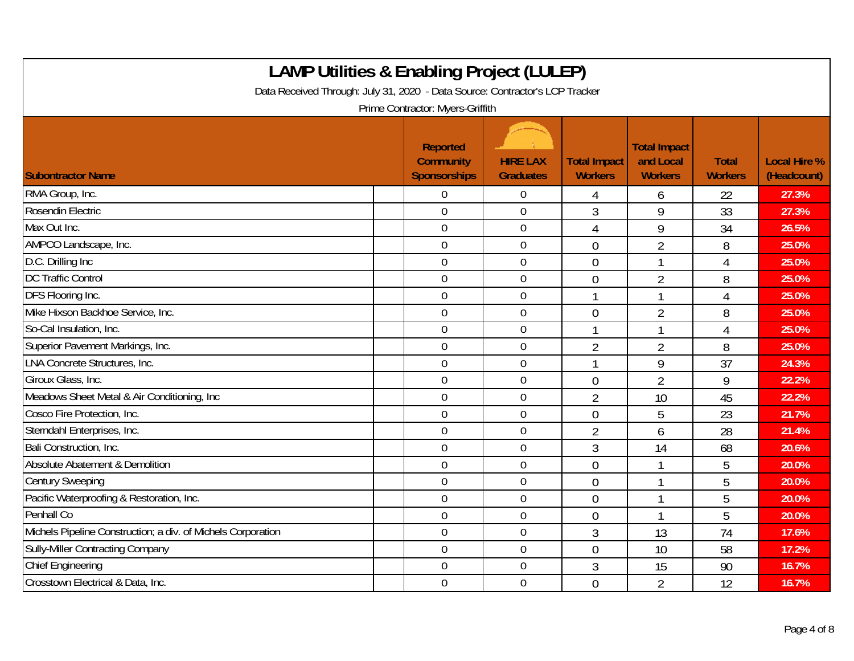| <b>LAMP Utilities &amp; Enabling Project (LULEP)</b><br>Data Received Through: July 31, 2020 - Data Source: Contractor's LCP Tracker<br>Prime Contractor: Myers-Griffith |                                                     |                                     |                                       |                                                    |                                |                                    |  |  |
|--------------------------------------------------------------------------------------------------------------------------------------------------------------------------|-----------------------------------------------------|-------------------------------------|---------------------------------------|----------------------------------------------------|--------------------------------|------------------------------------|--|--|
| <b>Subontractor Name</b>                                                                                                                                                 | Reported<br><b>Community</b><br><b>Sponsorships</b> | <b>HIRE LAX</b><br><b>Graduates</b> | <b>Total Impact</b><br><b>Workers</b> | <b>Total Impact</b><br>and Local<br><b>Workers</b> | <b>Total</b><br><b>Workers</b> | <b>Local Hire %</b><br>(Headcount) |  |  |
| RMA Group, Inc.                                                                                                                                                          | $\Omega$                                            | $\overline{0}$                      | 4                                     | 6                                                  | 22                             | 27.3%                              |  |  |
| Rosendin Electric                                                                                                                                                        | $\mathbf 0$                                         | $\mathbf 0$                         | $\mathfrak{Z}$                        | 9                                                  | 33                             | 27.3%                              |  |  |
| Max Out Inc.                                                                                                                                                             | $\mathbf 0$                                         | $\boldsymbol{0}$                    | $\overline{4}$                        | 9                                                  | 34                             | 26.5%                              |  |  |
| AMPCO Landscape, Inc.                                                                                                                                                    | $\boldsymbol{0}$                                    | $\boldsymbol{0}$                    | $\mathbf{0}$                          | $\overline{2}$                                     | 8                              | 25.0%                              |  |  |
| D.C. Drilling Inc                                                                                                                                                        | $\overline{0}$                                      | $\mathbf 0$                         | $\overline{0}$                        | 1                                                  | 4                              | 25.0%                              |  |  |
| <b>DC Traffic Control</b>                                                                                                                                                | $\mathbf 0$                                         | $\mathbf 0$                         | $\theta$                              | $\overline{2}$                                     | 8                              | 25.0%                              |  |  |
| DFS Flooring Inc.                                                                                                                                                        | $\overline{0}$                                      | $\overline{0}$                      | $\mathbf{1}$                          |                                                    | 4                              | 25.0%                              |  |  |
| Mike Hixson Backhoe Service, Inc.                                                                                                                                        | $\mathbf 0$                                         | $\boldsymbol{0}$                    | $\overline{0}$                        | $\overline{2}$                                     | 8                              | 25.0%                              |  |  |
| So-Cal Insulation, Inc.                                                                                                                                                  | $\mathbf 0$                                         | $\boldsymbol{0}$                    |                                       |                                                    | 4                              | 25.0%                              |  |  |
| Superior Pavement Markings, Inc.                                                                                                                                         | $\overline{0}$                                      | $\mathbf 0$                         | $\overline{2}$                        | $\overline{2}$                                     | 8                              | 25.0%                              |  |  |
| LNA Concrete Structures, Inc.                                                                                                                                            | $\mathbf 0$                                         | $\mathbf 0$                         | $\mathbf{1}$                          | 9                                                  | 37                             | 24.3%                              |  |  |
| Giroux Glass, Inc.                                                                                                                                                       | $\mathbf 0$                                         | $\mathbf 0$                         | $\theta$                              | $\overline{2}$                                     | 9                              | 22.2%                              |  |  |
| Meadows Sheet Metal & Air Conditioning, Inc.                                                                                                                             | $\overline{0}$                                      | $\mathbf 0$                         | $\overline{2}$                        | 10                                                 | 45                             | 22.2%                              |  |  |
| Cosco Fire Protection, Inc.                                                                                                                                              | $\overline{0}$                                      | $\boldsymbol{0}$                    | $\overline{0}$                        | 5                                                  | 23                             | 21.7%                              |  |  |
| Sterndahl Enterprises, Inc.                                                                                                                                              | $\mathbf 0$                                         | $\boldsymbol{0}$                    | $\overline{2}$                        | 6                                                  | 28                             | 21.4%                              |  |  |
| Bali Construction, Inc.                                                                                                                                                  | $\overline{0}$                                      | $\mathbf 0$                         | 3                                     | 14                                                 | 68                             | 20.6%                              |  |  |
| Absolute Abatement & Demolition                                                                                                                                          | $\overline{0}$                                      | $\mathbf 0$                         | $\overline{0}$                        |                                                    | 5                              | 20.0%                              |  |  |
| <b>Century Sweeping</b>                                                                                                                                                  | $\mathbf 0$                                         | $\mathbf 0$                         | $\overline{0}$                        |                                                    | 5                              | 20.0%                              |  |  |
| Pacific Waterproofing & Restoration, Inc.                                                                                                                                | $\overline{0}$                                      | $\mathbf 0$                         | $\overline{0}$                        | 1                                                  | 5                              | 20.0%                              |  |  |
| Penhall Co                                                                                                                                                               | $\overline{0}$                                      | $\mathbf 0$                         | $\theta$                              |                                                    | 5                              | 20.0%                              |  |  |
| Michels Pipeline Construction; a div. of Michels Corporation                                                                                                             | $\mathbf 0$                                         | $\boldsymbol{0}$                    | $\mathfrak{Z}$                        | 13                                                 | 74                             | 17.6%                              |  |  |
| Sully-Miller Contracting Company                                                                                                                                         | $\mathbf 0$                                         | $\mathbf 0$                         | $\overline{0}$                        | 10                                                 | 58                             | 17.2%                              |  |  |
| <b>Chief Engineering</b>                                                                                                                                                 | $\overline{0}$                                      | $\mathbf 0$                         | 3                                     | 15                                                 | 90                             | 16.7%                              |  |  |
| Crosstown Electrical & Data, Inc.                                                                                                                                        | $\mathbf 0$                                         | $\mathbf 0$                         | $\overline{0}$                        | $\overline{2}$                                     | 12                             | 16.7%                              |  |  |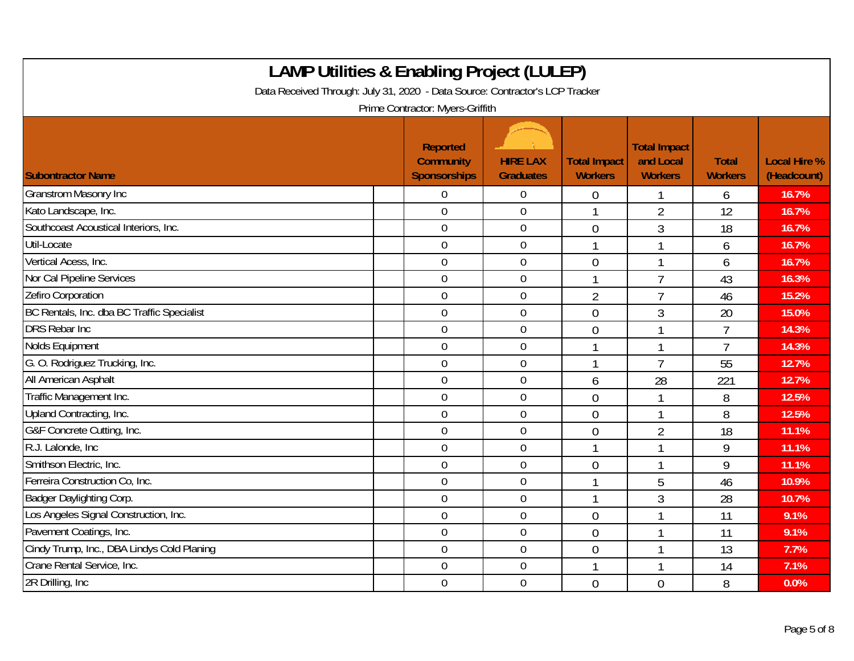| <b>LAMP Utilities &amp; Enabling Project (LULEP)</b><br>Data Received Through: July 31, 2020 - Data Source: Contractor's LCP Tracker<br>Prime Contractor: Myers-Griffith |                                                            |                                     |                                       |                                                    |                                |                                    |  |  |
|--------------------------------------------------------------------------------------------------------------------------------------------------------------------------|------------------------------------------------------------|-------------------------------------|---------------------------------------|----------------------------------------------------|--------------------------------|------------------------------------|--|--|
| <b>Subontractor Name</b>                                                                                                                                                 | <b>Reported</b><br><b>Community</b><br><b>Sponsorships</b> | <b>HIRE LAX</b><br><b>Graduates</b> | <b>Total Impact</b><br><b>Workers</b> | <b>Total Impact</b><br>and Local<br><b>Workers</b> | <b>Total</b><br><b>Workers</b> | <b>Local Hire %</b><br>(Headcount) |  |  |
| <b>Granstrom Masonry Inc</b>                                                                                                                                             | $\overline{0}$                                             | $\overline{0}$                      | $\mathbf 0$                           |                                                    | 6                              | 16.7%                              |  |  |
| Kato Landscape, Inc.                                                                                                                                                     | $\mathbf 0$                                                | $\mathbf 0$                         | -1                                    | $\overline{2}$                                     | 12                             | 16.7%                              |  |  |
| Southcoast Acoustical Interiors, Inc.                                                                                                                                    | $\mathbf 0$                                                | $\boldsymbol{0}$                    | $\overline{0}$                        | 3                                                  | 18                             | 16.7%                              |  |  |
| Util-Locate                                                                                                                                                              | $\overline{0}$                                             | $\mathbf 0$                         | $\mathbf{1}$                          |                                                    | 6                              | 16.7%                              |  |  |
| Vertical Acess, Inc.                                                                                                                                                     | $\mathbf 0$                                                | $\mathbf 0$                         | $\overline{0}$                        |                                                    | 6                              | 16.7%                              |  |  |
| Nor Cal Pipeline Services                                                                                                                                                | $\mathbf 0$                                                | $\mathbf 0$                         | $\mathbf{1}$                          | $\overline{7}$                                     | 43                             | 16.3%                              |  |  |
| Zefiro Corporation                                                                                                                                                       | $\mathbf 0$                                                | $\mathbf 0$                         | $\overline{2}$                        | $\overline{7}$                                     | 46                             | 15.2%                              |  |  |
| BC Rentals, Inc. dba BC Traffic Specialist                                                                                                                               | $\mathbf 0$                                                | $\mathbf 0$                         | $\overline{0}$                        | 3                                                  | 20                             | 15.0%                              |  |  |
| <b>DRS Rebar Inc.</b>                                                                                                                                                    | $\mathbf 0$                                                | $\mathbf 0$                         | $\overline{0}$                        |                                                    | $\overline{7}$                 | 14.3%                              |  |  |
| Nolds Equipment                                                                                                                                                          | $\mathbf 0$                                                | $\boldsymbol{0}$                    | $\mathbf{1}$                          |                                                    | $\overline{7}$                 | 14.3%                              |  |  |
| G. O. Rodriguez Trucking, Inc.                                                                                                                                           | $\overline{0}$                                             | $\overline{0}$                      | 1                                     | $\overline{7}$                                     | 55                             | 12.7%                              |  |  |
| All American Asphalt                                                                                                                                                     | $\mathbf 0$                                                | $\mathbf 0$                         | 6                                     | 28                                                 | 221                            | 12.7%                              |  |  |
| Traffic Management Inc.                                                                                                                                                  | $\mathbf 0$                                                | $\overline{0}$                      | $\overline{0}$                        |                                                    | 8                              | 12.5%                              |  |  |
| Upland Contracting, Inc.                                                                                                                                                 | $\overline{0}$                                             | $\mathbf 0$                         | $\overline{0}$                        |                                                    | 8                              | 12.5%                              |  |  |
| G&F Concrete Cutting, Inc.                                                                                                                                               | $\mathbf 0$                                                | $\boldsymbol{0}$                    | $\overline{0}$                        | $\overline{2}$                                     | 18                             | 11.1%                              |  |  |
| R.J. Lalonde, Inc.                                                                                                                                                       | $\mathbf 0$                                                | $\mathbf 0$                         | $\mathbf{1}$                          |                                                    | 9                              | 11.1%                              |  |  |
| Smithson Electric, Inc.                                                                                                                                                  | $\overline{0}$                                             | $\overline{0}$                      | $\overline{0}$                        |                                                    | 9                              | 11.1%                              |  |  |
| Ferreira Construction Co, Inc.                                                                                                                                           | $\mathbf 0$                                                | $\mathbf 0$                         |                                       | 5                                                  | 46                             | 10.9%                              |  |  |
| Badger Daylighting Corp.                                                                                                                                                 | $\overline{0}$                                             | $\overline{0}$                      | $\mathbf{1}$                          | 3                                                  | 28                             | 10.7%                              |  |  |
| Los Angeles Signal Construction, Inc.                                                                                                                                    | $\mathbf 0$                                                | $\mathbf 0$                         | $\overline{0}$                        |                                                    | 11                             | 9.1%                               |  |  |
| Pavement Coatings, Inc.                                                                                                                                                  | $\mathbf 0$                                                | $\pmb{0}$                           | $\overline{0}$                        |                                                    | 11                             | 9.1%                               |  |  |
| Cindy Trump, Inc., DBA Lindys Cold Planing                                                                                                                               | $\overline{0}$                                             | $\overline{0}$                      | $\mathbf 0$                           |                                                    | 13                             | 7.7%                               |  |  |
| Crane Rental Service, Inc.                                                                                                                                               | $\mathbf 0$                                                | $\mathbf 0$                         |                                       |                                                    | 14                             | 7.1%                               |  |  |
| 2R Drilling, Inc.                                                                                                                                                        | $\overline{0}$                                             | $\mathbf 0$                         | $\overline{0}$                        | $\theta$                                           | 8                              | 0.0%                               |  |  |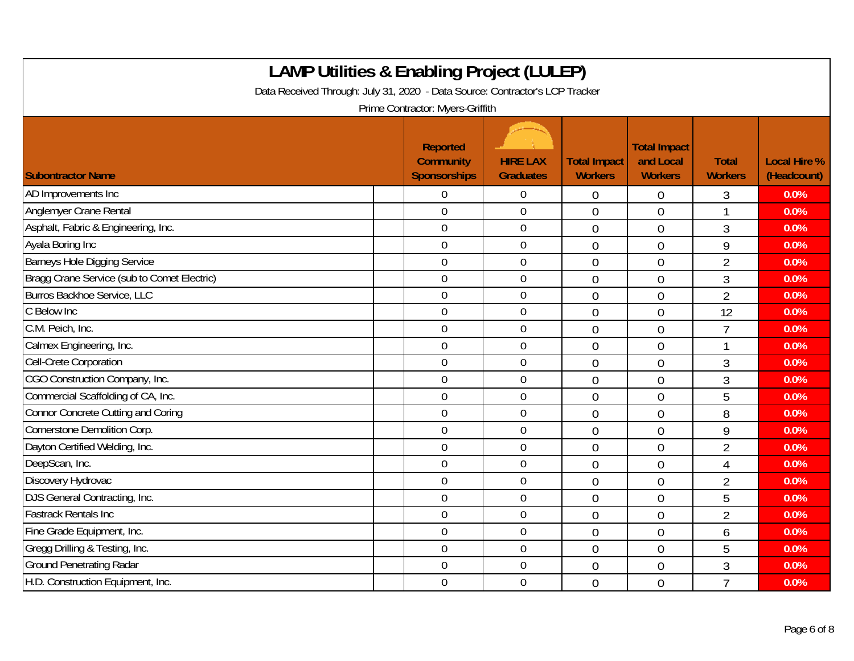| <b>LAMP Utilities &amp; Enabling Project (LULEP)</b><br>Data Received Through: July 31, 2020 - Data Source: Contractor's LCP Tracker<br>Prime Contractor: Myers-Griffith |  |                                                     |                                     |                                       |                                                    |                                |                                    |  |  |
|--------------------------------------------------------------------------------------------------------------------------------------------------------------------------|--|-----------------------------------------------------|-------------------------------------|---------------------------------------|----------------------------------------------------|--------------------------------|------------------------------------|--|--|
| <b>Subontractor Name</b>                                                                                                                                                 |  | <b>Reported</b><br><b>Community</b><br>Sponsorships | <b>HIRE LAX</b><br><b>Graduates</b> | <b>Total Impact</b><br><b>Workers</b> | <b>Total Impact</b><br>and Local<br><b>Workers</b> | <b>Total</b><br><b>Workers</b> | <b>Local Hire %</b><br>(Headcount) |  |  |
| AD Improvements Inc                                                                                                                                                      |  | 0                                                   | $\overline{0}$                      | 0                                     | $\overline{0}$                                     | 3                              | 0.0%                               |  |  |
| Anglemyer Crane Rental                                                                                                                                                   |  | $\overline{0}$                                      | $\overline{0}$                      | $\overline{0}$                        | $\overline{0}$                                     |                                | 0.0%                               |  |  |
| Asphalt, Fabric & Engineering, Inc.                                                                                                                                      |  | $\overline{0}$                                      | $\mathbf 0$                         | $\overline{0}$                        | $\theta$                                           | 3                              | 0.0%                               |  |  |
| Ayala Boring Inc                                                                                                                                                         |  | $\mathbf 0$                                         | $\boldsymbol{0}$                    | $\overline{0}$                        | $\overline{0}$                                     | 9                              | 0.0%                               |  |  |
| Barneys Hole Digging Service                                                                                                                                             |  | $\mathbf 0$                                         | $\mathbf 0$                         | $\overline{0}$                        | $\overline{0}$                                     | $\overline{2}$                 | 0.0%                               |  |  |
| Bragg Crane Service (sub to Comet Electric)                                                                                                                              |  | $\mathbf 0$                                         | $\mathbf 0$                         | $\overline{0}$                        | $\theta$                                           | 3                              | 0.0%                               |  |  |
| <b>Burros Backhoe Service, LLC</b>                                                                                                                                       |  | $\mathbf 0$                                         | $\mathbf 0$                         | $\overline{0}$                        | $\overline{0}$                                     | $\overline{2}$                 | 0.0%                               |  |  |
| C Below Inc                                                                                                                                                              |  | $\overline{0}$                                      | $\mathbf 0$                         | $\overline{0}$                        | $\overline{0}$                                     | 12                             | 0.0%                               |  |  |
| C.M. Peich, Inc.                                                                                                                                                         |  | $\overline{0}$                                      | $\boldsymbol{0}$                    | $\overline{0}$                        | $\overline{0}$                                     | $\overline{7}$                 | 0.0%                               |  |  |
| Calmex Engineering, Inc.                                                                                                                                                 |  | $\boldsymbol{0}$                                    | $\mathbf 0$                         | $\overline{0}$                        | $\overline{0}$                                     | -1                             | 0.0%                               |  |  |
| Cell-Crete Corporation                                                                                                                                                   |  | $\mathbf 0$                                         | $\mathbf 0$                         | $\overline{0}$                        | $\overline{0}$                                     | 3                              | 0.0%                               |  |  |
| CGO Construction Company, Inc.                                                                                                                                           |  | $\overline{0}$                                      | $\mathbf 0$                         | $\overline{0}$                        | $\theta$                                           | 3                              | 0.0%                               |  |  |
| Commercial Scaffolding of CA, Inc.                                                                                                                                       |  | $\mathbf 0$                                         | $\mathbf 0$                         | $\overline{0}$                        | $\overline{0}$                                     | 5                              | 0.0%                               |  |  |
| Connor Concrete Cutting and Coring                                                                                                                                       |  | $\mathbf 0$                                         | $\boldsymbol{0}$                    | $\overline{0}$                        | $\mathbf 0$                                        | 8                              | 0.0%                               |  |  |
| Cornerstone Demolition Corp.                                                                                                                                             |  | $\mathbf 0$                                         | $\overline{0}$                      | $\overline{0}$                        | $\overline{0}$                                     | 9                              | 0.0%                               |  |  |
| Dayton Certified Welding, Inc.                                                                                                                                           |  | $\mathbf 0$                                         | $\mathbf 0$                         | $\overline{0}$                        | $\overline{0}$                                     | $\overline{2}$                 | 0.0%                               |  |  |
| DeepScan, Inc.                                                                                                                                                           |  | $\overline{0}$                                      | $\mathbf 0$                         | $\overline{0}$                        | $\overline{0}$                                     | $\overline{4}$                 | 0.0%                               |  |  |
| Discovery Hydrovac                                                                                                                                                       |  | $\overline{0}$                                      | $\overline{0}$                      | $\overline{0}$                        | $\overline{0}$                                     | $\overline{2}$                 | 0.0%                               |  |  |
| DJS General Contracting, Inc.                                                                                                                                            |  | $\mathbf 0$                                         | $\mathbf 0$                         | $\overline{0}$                        | $\overline{0}$                                     | 5                              | 0.0%                               |  |  |
| <b>Fastrack Rentals Inc</b>                                                                                                                                              |  | $\overline{0}$                                      | $\boldsymbol{0}$                    | $\overline{0}$                        | $\theta$                                           | $\overline{2}$                 | 0.0%                               |  |  |
| Fine Grade Equipment, Inc.                                                                                                                                               |  | $\mathbf 0$                                         | $\overline{0}$                      | $\overline{0}$                        | $\overline{0}$                                     | 6                              | 0.0%                               |  |  |
| Gregg Drilling & Testing, Inc.                                                                                                                                           |  | $\overline{0}$                                      | $\overline{0}$                      | $\overline{0}$                        | $\overline{0}$                                     | 5                              | 0.0%                               |  |  |
| <b>Ground Penetrating Radar</b>                                                                                                                                          |  | $\boldsymbol{0}$                                    | $\boldsymbol{0}$                    | $\overline{0}$                        | $\overline{0}$                                     | 3                              | 0.0%                               |  |  |
| H.D. Construction Equipment, Inc.                                                                                                                                        |  | $\overline{0}$                                      | $\mathbf 0$                         | $\overline{0}$                        | $\overline{0}$                                     | $\overline{7}$                 | 0.0%                               |  |  |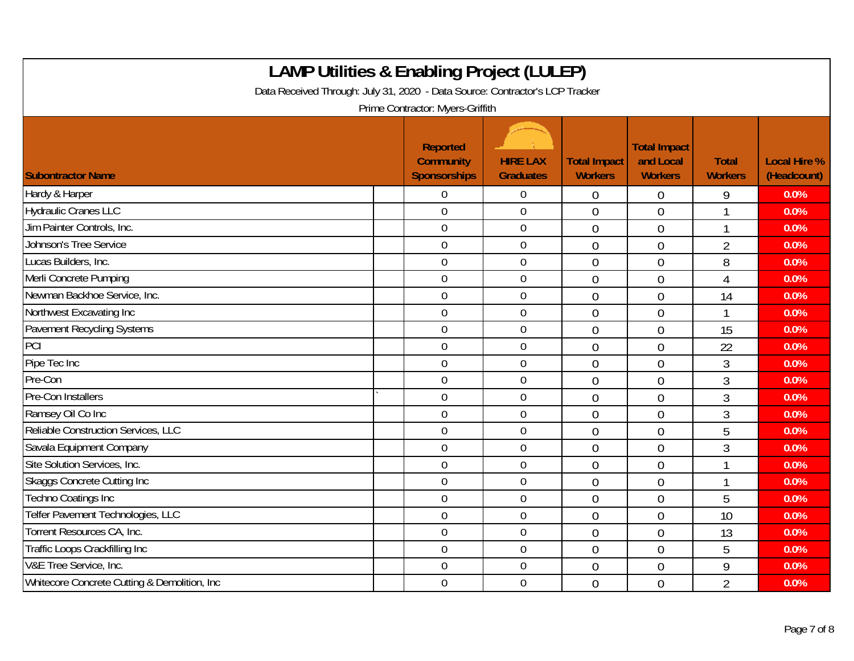| <b>LAMP Utilities &amp; Enabling Project (LULEP)</b><br>Data Received Through: July 31, 2020 - Data Source: Contractor's LCP Tracker<br>Prime Contractor: Myers-Griffith |                                                            |                                     |                                       |                                                    |                                |                                    |  |  |
|--------------------------------------------------------------------------------------------------------------------------------------------------------------------------|------------------------------------------------------------|-------------------------------------|---------------------------------------|----------------------------------------------------|--------------------------------|------------------------------------|--|--|
| <b>Subontractor Name</b>                                                                                                                                                 | <b>Reported</b><br><b>Community</b><br><b>Sponsorships</b> | <b>HIRE LAX</b><br><b>Graduates</b> | <b>Total Impact</b><br><b>Workers</b> | <b>Total Impact</b><br>and Local<br><b>Workers</b> | <b>Total</b><br><b>Workers</b> | <b>Local Hire %</b><br>(Headcount) |  |  |
| Hardy & Harper                                                                                                                                                           | $\Omega$                                                   | $\overline{0}$                      | $\overline{0}$                        | $\theta$                                           | 9                              | 0.0%                               |  |  |
| <b>Hydraulic Cranes LLC</b>                                                                                                                                              | $\mathbf 0$                                                | $\mathbf 0$                         | $\overline{0}$                        | $\overline{0}$                                     |                                | 0.0%                               |  |  |
| Jim Painter Controls, Inc.                                                                                                                                               | $\mathbf 0$                                                | $\boldsymbol{0}$                    | $\overline{0}$                        | $\overline{0}$                                     | $\overline{ }$                 | 0.0%                               |  |  |
| Johnson's Tree Service                                                                                                                                                   | $\boldsymbol{0}$                                           | $\boldsymbol{0}$                    | $\overline{0}$                        | $\mathbf 0$                                        | $\overline{2}$                 | 0.0%                               |  |  |
| Lucas Builders, Inc.                                                                                                                                                     | $\mathbf 0$                                                | $\mathbf 0$                         | $\overline{0}$                        | $\overline{0}$                                     | 8                              | 0.0%                               |  |  |
| Merli Concrete Pumping                                                                                                                                                   | $\mathbf 0$                                                | $\mathbf 0$                         | $\overline{0}$                        | $\overline{0}$                                     | 4                              | 0.0%                               |  |  |
| Newman Backhoe Service, Inc.                                                                                                                                             | $\overline{0}$                                             | $\overline{0}$                      | $\overline{0}$                        | $\theta$                                           | 14                             | 0.0%                               |  |  |
| Northwest Excavating Inc                                                                                                                                                 | $\mathbf 0$                                                | $\mathbf 0$                         | $\overline{0}$                        | $\overline{0}$                                     | 1                              | 0.0%                               |  |  |
| Pavement Recycling Systems                                                                                                                                               | $\mathbf 0$                                                | $\boldsymbol{0}$                    | $\overline{0}$                        | $\overline{0}$                                     | 15                             | 0.0%                               |  |  |
| PCI                                                                                                                                                                      | $\overline{0}$                                             | $\overline{0}$                      | $\overline{0}$                        | $\overline{0}$                                     | 22                             | 0.0%                               |  |  |
| Pipe Tec Inc                                                                                                                                                             | $\mathbf 0$                                                | $\mathbf 0$                         | $\overline{0}$                        | $\overline{0}$                                     | 3                              | 0.0%                               |  |  |
| Pre-Con                                                                                                                                                                  | $\mathbf 0$                                                | $\mathbf 0$                         | $\overline{0}$                        | $\overline{0}$                                     | 3                              | 0.0%                               |  |  |
| Pre-Con Installers                                                                                                                                                       | $\overline{0}$                                             | $\overline{0}$                      | $\overline{0}$                        | $\overline{0}$                                     | 3                              | 0.0%                               |  |  |
| Ramsey Oil Co Inc                                                                                                                                                        | $\overline{0}$                                             | $\boldsymbol{0}$                    | $\overline{0}$                        | $\overline{0}$                                     | 3                              | 0.0%                               |  |  |
| Reliable Construction Services, LLC                                                                                                                                      | $\mathbf 0$                                                | $\boldsymbol{0}$                    | $\overline{0}$                        | $\overline{0}$                                     | 5                              | 0.0%                               |  |  |
| Savala Equipment Company                                                                                                                                                 | $\overline{0}$                                             | $\mathbf 0$                         | $\overline{0}$                        | $\overline{0}$                                     | $\mathfrak{Z}$                 | 0.0%                               |  |  |
| Site Solution Services, Inc.                                                                                                                                             | $\overline{0}$                                             | $\mathbf 0$                         | $\overline{0}$                        | $\overline{0}$                                     | 1                              | 0.0%                               |  |  |
| <b>Skaggs Concrete Cutting Inc</b>                                                                                                                                       | $\mathbf 0$                                                | $\mathbf 0$                         | $\overline{0}$                        | $\overline{0}$                                     |                                | 0.0%                               |  |  |
| <b>Techno Coatings Inc</b>                                                                                                                                               | $\overline{0}$                                             | $\mathbf 0$                         | $\overline{0}$                        | $\overline{0}$                                     | 5                              | 0.0%                               |  |  |
| Telfer Pavement Technologies, LLC                                                                                                                                        | $\overline{0}$                                             | $\mathbf 0$                         | $\overline{0}$                        | $\theta$                                           | 10                             | 0.0%                               |  |  |
| Torrent Resources CA, Inc.                                                                                                                                               | $\mathbf 0$                                                | $\boldsymbol{0}$                    | $\overline{0}$                        | $\overline{0}$                                     | 13                             | 0.0%                               |  |  |
| Traffic Loops Crackfilling Inc                                                                                                                                           | $\mathbf 0$                                                | $\mathbf 0$                         | $\overline{0}$                        | $\overline{0}$                                     | 5                              | 0.0%                               |  |  |
| V&E Tree Service, Inc.                                                                                                                                                   | $\overline{0}$                                             | $\mathbf 0$                         | $\overline{0}$                        | $\overline{0}$                                     | 9                              | 0.0%                               |  |  |
| Whitecore Concrete Cutting & Demolition, Inc.                                                                                                                            | $\mathbf 0$                                                | $\mathbf 0$                         | $\overline{0}$                        | $\overline{0}$                                     | $\overline{2}$                 | 0.0%                               |  |  |